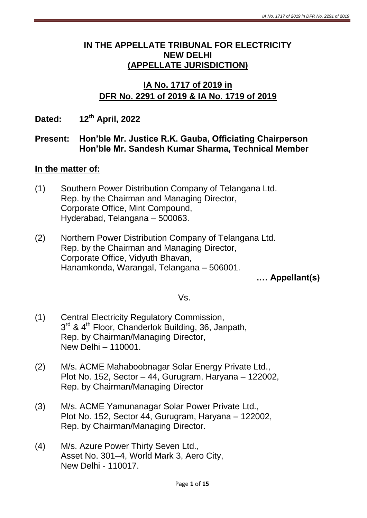### **IN THE APPELLATE TRIBUNAL FOR ELECTRICITY NEW DELHI (APPELLATE JURISDICTION)**

## **IA No. 1717 of 2019 in DFR No. 2291 of 2019 & IA No. 1719 of 2019**

**Dated: 12th April, 2022**

#### **Present: Hon'ble Mr. Justice R.K. Gauba, Officiating Chairperson Hon'ble Mr. Sandesh Kumar Sharma, Technical Member**

### **In the matter of:**

- (1) Southern Power Distribution Company of Telangana Ltd. Rep. by the Chairman and Managing Director, Corporate Office, Mint Compound, Hyderabad, Telangana – 500063.
- (2) Northern Power Distribution Company of Telangana Ltd. Rep. by the Chairman and Managing Director, Corporate Office, Vidyuth Bhavan, Hanamkonda, Warangal, Telangana – 506001.

**.… Appellant(s)**

Vs.

- (1) Central Electricity Regulatory Commission, 3<sup>rd</sup> & 4<sup>th</sup> Floor, Chanderlok Building, 36, Janpath, Rep. by Chairman/Managing Director, New Delhi – 110001.
- (2) M/s. ACME Mahaboobnagar Solar Energy Private Ltd., Plot No. 152, Sector – 44, Gurugram, Haryana – 122002, Rep. by Chairman/Managing Director
- (3) M/s. ACME Yamunanagar Solar Power Private Ltd., Plot No. 152, Sector 44, Gurugram, Haryana – 122002, Rep. by Chairman/Managing Director.
- (4) M/s. Azure Power Thirty Seven Ltd., Asset No. 301–4, World Mark 3, Aero City, New Delhi - 110017.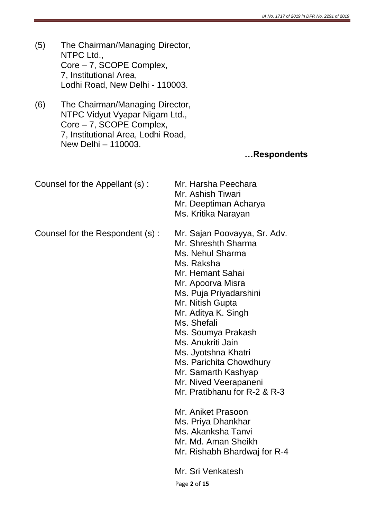- (5) The Chairman/Managing Director, NTPC Ltd., Core – 7, SCOPE Complex, 7, Institutional Area, Lodhi Road, New Delhi - 110003.
- (6) The Chairman/Managing Director, NTPC Vidyut Vyapar Nigam Ltd., Core – 7, SCOPE Complex, 7, Institutional Area, Lodhi Road, New Delhi – 110003.

#### **…Respondents**

| Counsel for the Appellant (s):  | Mr. Harsha Peechara<br>Mr. Ashish Tiwari<br>Mr. Deeptiman Acharya<br>Ms. Kritika Narayan                                       |
|---------------------------------|--------------------------------------------------------------------------------------------------------------------------------|
| Counsel for the Respondent (s): | Mr. Sajan Poovayya, Sr. Adv.<br>Mr. Shreshth Sharma<br>Ms. Nehul Sharma<br>Ms. Raksha<br>Mr. Hemant Sahai<br>Mr. Apoorva Misra |

- Ms. Puja Priyadarshini
- Mr. Nitish Gupta
- Mr. Aditya K. Singh
- Ms. Shefali
- Ms. Soumya Prakash
- Ms. Anukriti Jain
- Ms. Jyotshna Khatri
- Ms. Parichita Chowdhury
- Mr. Samarth Kashyap
- Mr. Nived Veerapaneni
- Mr. Pratibhanu for R-2 & R-3

Mr. Aniket Prasoon

- Ms. Priya Dhankhar
- Ms. Akanksha Tanvi
- Mr. Md. Aman Sheikh
- Mr. Rishabh Bhardwaj for R-4

Mr. Sri Venkatesh

Page **2** of **15**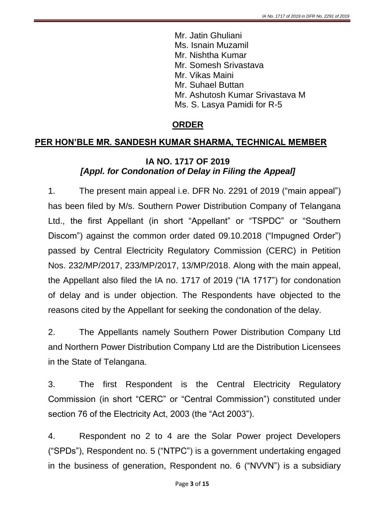Mr. Jatin Ghuliani Ms. Isnain Muzamil Mr. Nishtha Kumar Mr. Somesh Srivastava Mr. Vikas Maini Mr. Suhael Buttan Mr. Ashutosh Kumar Srivastava M Ms. S. Lasya Pamidi for R-5

### **ORDER**

#### **PER HON'BLE MR. SANDESH KUMAR SHARMA, TECHNICAL MEMBER**

### **IA NO. 1717 OF 2019**  *[Appl. for Condonation of Delay in Filing the Appeal]*

1. The present main appeal i.e. DFR No. 2291 of 2019 ("main appeal") has been filed by M/s. Southern Power Distribution Company of Telangana Ltd., the first Appellant (in short "Appellant" or "TSPDC" or "Southern Discom") against the common order dated 09.10.2018 ("Impugned Order") passed by Central Electricity Regulatory Commission (CERC) in Petition Nos. 232/MP/2017, 233/MP/2017, 13/MP/2018. Along with the main appeal, the Appellant also filed the IA no. 1717 of 2019 ("IA 1717") for condonation of delay and is under objection. The Respondents have objected to the reasons cited by the Appellant for seeking the condonation of the delay.

2. The Appellants namely Southern Power Distribution Company Ltd and Northern Power Distribution Company Ltd are the Distribution Licensees in the State of Telangana.

3. The first Respondent is the Central Electricity Regulatory Commission (in short "CERC" or "Central Commission") constituted under section 76 of the Electricity Act, 2003 (the "Act 2003").

4. Respondent no 2 to 4 are the Solar Power project Developers ("SPDs"), Respondent no. 5 ("NTPC") is a government undertaking engaged in the business of generation, Respondent no. 6 ("NVVN") is a subsidiary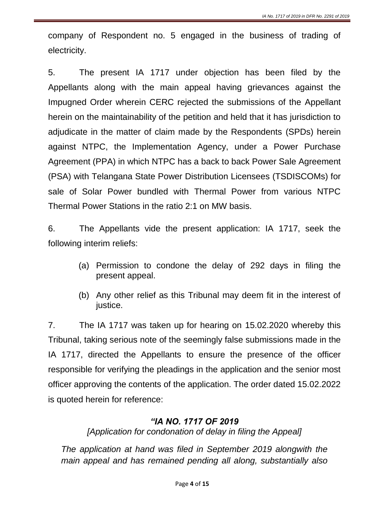company of Respondent no. 5 engaged in the business of trading of electricity.

5. The present IA 1717 under objection has been filed by the Appellants along with the main appeal having grievances against the Impugned Order wherein CERC rejected the submissions of the Appellant herein on the maintainability of the petition and held that it has jurisdiction to adjudicate in the matter of claim made by the Respondents (SPDs) herein against NTPC, the Implementation Agency, under a Power Purchase Agreement (PPA) in which NTPC has a back to back Power Sale Agreement (PSA) with Telangana State Power Distribution Licensees (TSDISCOMs) for sale of Solar Power bundled with Thermal Power from various NTPC Thermal Power Stations in the ratio 2:1 on MW basis.

6. The Appellants vide the present application: IA 1717, seek the following interim reliefs:

- (a) Permission to condone the delay of 292 days in filing the present appeal.
- (b) Any other relief as this Tribunal may deem fit in the interest of justice.

7. The IA 1717 was taken up for hearing on 15.02.2020 whereby this Tribunal, taking serious note of the seemingly false submissions made in the IA 1717, directed the Appellants to ensure the presence of the officer responsible for verifying the pleadings in the application and the senior most officer approving the contents of the application. The order dated 15.02.2022 is quoted herein for reference:

### *"IA NO. 1717 OF 2019*

*[Application for condonation of delay in filing the Appeal]*

*The application at hand was filed in September 2019 alongwith the main appeal and has remained pending all along, substantially also*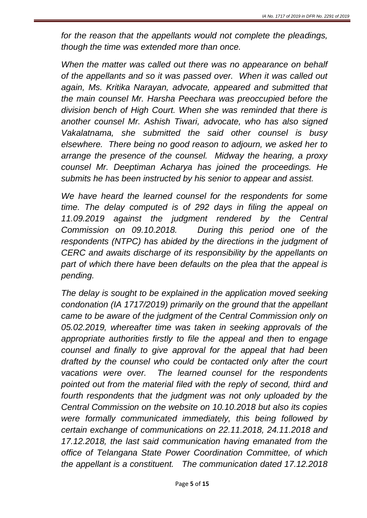*for the reason that the appellants would not complete the pleadings, though the time was extended more than once.* 

*When the matter was called out there was no appearance on behalf of the appellants and so it was passed over. When it was called out again, Ms. Kritika Narayan, advocate, appeared and submitted that the main counsel Mr. Harsha Peechara was preoccupied before the division bench of High Court. When she was reminded that there is another counsel Mr. Ashish Tiwari, advocate, who has also signed Vakalatnama, she submitted the said other counsel is busy elsewhere. There being no good reason to adjourn, we asked her to arrange the presence of the counsel. Midway the hearing, a proxy counsel Mr. Deeptiman Acharya has joined the proceedings. He submits he has been instructed by his senior to appear and assist.* 

*We have heard the learned counsel for the respondents for some time. The delay computed is of 292 days in filing the appeal on 11.09.2019 against the judgment rendered by the Central Commission on 09.10.2018. During this period one of the respondents (NTPC) has abided by the directions in the judgment of CERC and awaits discharge of its responsibility by the appellants on part of which there have been defaults on the plea that the appeal is pending.* 

*The delay is sought to be explained in the application moved seeking condonation (IA 1717/2019) primarily on the ground that the appellant came to be aware of the judgment of the Central Commission only on 05.02.2019, whereafter time was taken in seeking approvals of the appropriate authorities firstly to file the appeal and then to engage counsel and finally to give approval for the appeal that had been drafted by the counsel who could be contacted only after the court vacations were over. The learned counsel for the respondents pointed out from the material filed with the reply of second, third and fourth respondents that the judgment was not only uploaded by the Central Commission on the website on 10.10.2018 but also its copies were formally communicated immediately, this being followed by certain exchange of communications on 22.11.2018, 24.11.2018 and 17.12.2018, the last said communication having emanated from the office of Telangana State Power Coordination Committee, of which the appellant is a constituent. The communication dated 17.12.2018*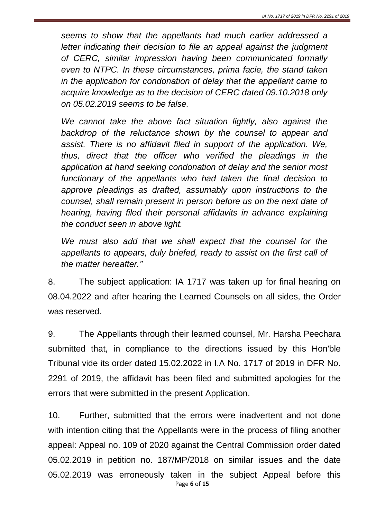*seems to show that the appellants had much earlier addressed a letter indicating their decision to file an appeal against the judgment of CERC, similar impression having been communicated formally even to NTPC. In these circumstances, prima facie, the stand taken in the application for condonation of delay that the appellant came to acquire knowledge as to the decision of CERC dated 09.10.2018 only on 05.02.2019 seems to be false.* 

*We cannot take the above fact situation lightly, also against the backdrop of the reluctance shown by the counsel to appear and assist. There is no affidavit filed in support of the application. We, thus, direct that the officer who verified the pleadings in the application at hand seeking condonation of delay and the senior most functionary of the appellants who had taken the final decision to approve pleadings as drafted, assumably upon instructions to the counsel, shall remain present in person before us on the next date of hearing, having filed their personal affidavits in advance explaining the conduct seen in above light.* 

*We must also add that we shall expect that the counsel for the appellants to appears, duly briefed, ready to assist on the first call of the matter hereafter."*

8. The subject application: IA 1717 was taken up for final hearing on 08.04.2022 and after hearing the Learned Counsels on all sides, the Order was reserved.

9. The Appellants through their learned counsel, Mr. Harsha Peechara submitted that, in compliance to the directions issued by this Hon'ble Tribunal vide its order dated 15.02.2022 in I.A No. 1717 of 2019 in DFR No. 2291 of 2019, the affidavit has been filed and submitted apologies for the errors that were submitted in the present Application.

Page **6** of **15** 10. Further, submitted that the errors were inadvertent and not done with intention citing that the Appellants were in the process of filing another appeal: Appeal no. 109 of 2020 against the Central Commission order dated 05.02.2019 in petition no. 187/MP/2018 on similar issues and the date 05.02.2019 was erroneously taken in the subject Appeal before this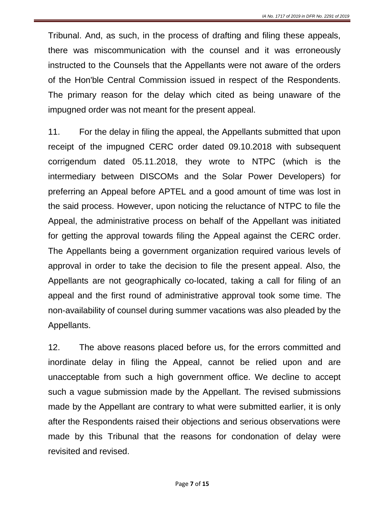Tribunal. And, as such, in the process of drafting and filing these appeals, there was miscommunication with the counsel and it was erroneously instructed to the Counsels that the Appellants were not aware of the orders of the Hon'ble Central Commission issued in respect of the Respondents. The primary reason for the delay which cited as being unaware of the impugned order was not meant for the present appeal.

11. For the delay in filing the appeal, the Appellants submitted that upon receipt of the impugned CERC order dated 09.10.2018 with subsequent corrigendum dated 05.11.2018, they wrote to NTPC (which is the intermediary between DISCOMs and the Solar Power Developers) for preferring an Appeal before APTEL and a good amount of time was lost in the said process. However, upon noticing the reluctance of NTPC to file the Appeal, the administrative process on behalf of the Appellant was initiated for getting the approval towards filing the Appeal against the CERC order. The Appellants being a government organization required various levels of approval in order to take the decision to file the present appeal. Also, the Appellants are not geographically co-located, taking a call for filing of an appeal and the first round of administrative approval took some time. The non-availability of counsel during summer vacations was also pleaded by the Appellants.

12. The above reasons placed before us, for the errors committed and inordinate delay in filing the Appeal, cannot be relied upon and are unacceptable from such a high government office. We decline to accept such a vague submission made by the Appellant. The revised submissions made by the Appellant are contrary to what were submitted earlier, it is only after the Respondents raised their objections and serious observations were made by this Tribunal that the reasons for condonation of delay were revisited and revised.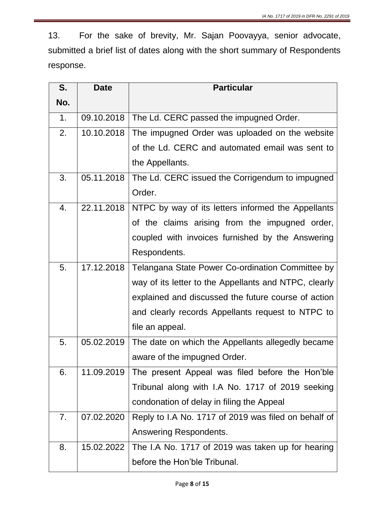13. For the sake of brevity, Mr. Sajan Poovayya, senior advocate, submitted a brief list of dates along with the short summary of Respondents response.

| S.               | <b>Date</b> | <b>Particular</b>                                     |
|------------------|-------------|-------------------------------------------------------|
| No.              |             |                                                       |
| 1.               | 09.10.2018  | The Ld. CERC passed the impugned Order.               |
| 2.               | 10.10.2018  | The impugned Order was uploaded on the website        |
|                  |             | of the Ld. CERC and automated email was sent to       |
|                  |             | the Appellants.                                       |
| 3.               | 05.11.2018  | The Ld. CERC issued the Corrigendum to impugned       |
|                  |             | Order.                                                |
| $\overline{4}$ . | 22.11.2018  | NTPC by way of its letters informed the Appellants    |
|                  |             | of the claims arising from the impugned order,        |
|                  |             | coupled with invoices furnished by the Answering      |
|                  |             | Respondents.                                          |
| 5.               | 17.12.2018  | Telangana State Power Co-ordination Committee by      |
|                  |             | way of its letter to the Appellants and NTPC, clearly |
|                  |             | explained and discussed the future course of action   |
|                  |             | and clearly records Appellants request to NTPC to     |
|                  |             | file an appeal.                                       |
| 5.               | 05.02.2019  | The date on which the Appellants allegedly became     |
|                  |             | aware of the impugned Order.                          |
| 6.               | 11.09.2019  | The present Appeal was filed before the Hon'ble       |
|                  |             | Tribunal along with I.A No. 1717 of 2019 seeking      |
|                  |             | condonation of delay in filing the Appeal             |
| 7.               | 07.02.2020  | Reply to I.A No. 1717 of 2019 was filed on behalf of  |
|                  |             | Answering Respondents.                                |
| 8.               | 15.02.2022  | The I.A No. 1717 of 2019 was taken up for hearing     |
|                  |             | before the Hon'ble Tribunal.                          |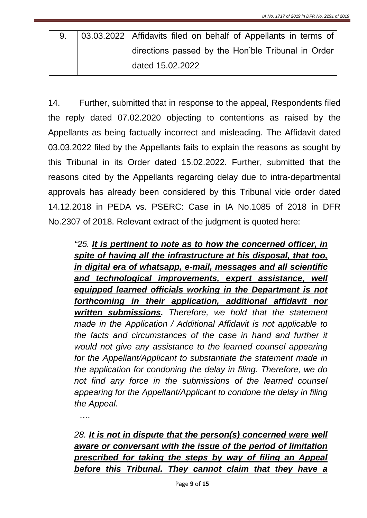|  | 03.03.2022   Affidavits filed on behalf of Appellants in terms of |
|--|-------------------------------------------------------------------|
|  | directions passed by the Hon'ble Tribunal in Order                |
|  | $\frac{1}{2}$ dated 15.02.2022                                    |

14. Further, submitted that in response to the appeal, Respondents filed the reply dated 07.02.2020 objecting to contentions as raised by the Appellants as being factually incorrect and misleading. The Affidavit dated 03.03.2022 filed by the Appellants fails to explain the reasons as sought by this Tribunal in its Order dated 15.02.2022. Further, submitted that the reasons cited by the Appellants regarding delay due to intra-departmental approvals has already been considered by this Tribunal vide order dated 14.12.2018 in PEDA vs. PSERC: Case in IA No.1085 of 2018 in DFR No.2307 of 2018. Relevant extract of the judgment is quoted here:

*"25. It is pertinent to note as to how the concerned officer, in spite of having all the infrastructure at his disposal, that too, in digital era of whatsapp, e-mail, messages and all scientific and technological improvements, expert assistance, well equipped learned officials working in the Department is not forthcoming in their application, additional affidavit nor written submissions. Therefore, we hold that the statement made in the Application / Additional Affidavit is not applicable to the facts and circumstances of the case in hand and further it would not give any assistance to the learned counsel appearing for the Appellant/Applicant to substantiate the statement made in the application for condoning the delay in filing. Therefore, we do not find any force in the submissions of the learned counsel appearing for the Appellant/Applicant to condone the delay in filing the Appeal.*

*….*

28. It is not in dispute that the person(s) concerned were well *aware or conversant with the issue of the period of limitation prescribed for taking the steps by way of filing an Appeal before this Tribunal. They cannot claim that they have a*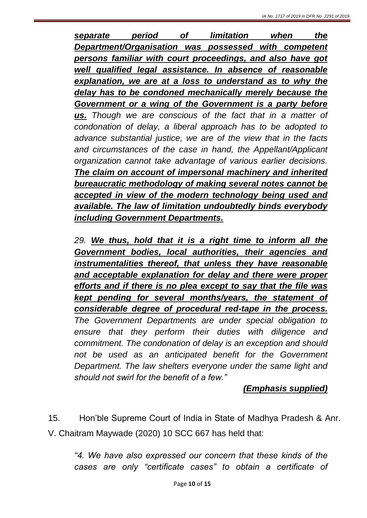*separate period of limitation when the Department/Organisation was possessed with competent persons familiar with court proceedings, and also have got well qualified legal assistance. In absence of reasonable explanation, we are at a loss to understand as to why the delay has to be condoned mechanically merely because the Government or a wing of the Government is a party before us. Though we are conscious of the fact that in a matter of condonation of delay, a liberal approach has to be adopted to advance substantial justice, we are of the view that in the facts and circumstances of the case in hand, the Appellant/Applicant organization cannot take advantage of various earlier decisions. The claim on account of impersonal machinery and inherited bureaucratic methodology of making several notes cannot be accepted in view of the modern technology being used and available. The law of limitation undoubtedly binds everybody including Government Departments.*

*29. We thus, hold that it is a right time to inform all the Government bodies, local authorities, their agencies and instrumentalities thereof, that unless they have reasonable and acceptable explanation for delay and there were proper efforts and if there is no plea except to say that the file was kept pending for several months/years, the statement of considerable degree of procedural red-tape in the process. The Government Departments are under special obligation to ensure that they perform their duties with diligence and commitment. The condonation of delay is an exception and should not be used as an anticipated benefit for the Government Department. The law shelters everyone under the same light and should not swirl for the benefit of a few."*

### *(Emphasis supplied)*

15. Hon'ble Supreme Court of India in State of Madhya Pradesh & Anr. V. Chaitram Maywade (2020) 10 SCC 667 has held that:

*"4. We have also expressed our concern that these kinds of the cases are only "certificate cases" to obtain a certificate of*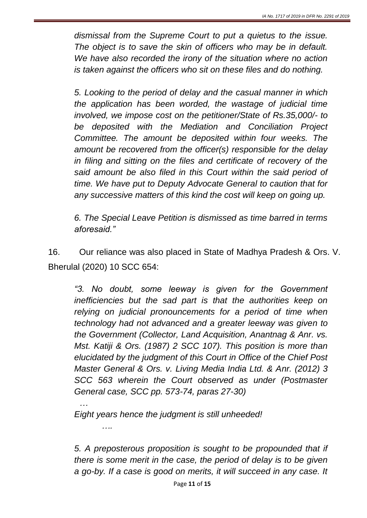*dismissal from the Supreme Court to put a quietus to the issue. The object is to save the skin of officers who may be in default. We have also recorded the irony of the situation where no action is taken against the officers who sit on these files and do nothing.*

*5. Looking to the period of delay and the casual manner in which the application has been worded, the wastage of judicial time involved, we impose cost on the petitioner/State of Rs.35,000/- to be deposited with the Mediation and Conciliation Project Committee. The amount be deposited within four weeks. The amount be recovered from the officer(s) responsible for the delay in filing and sitting on the files and certificate of recovery of the said amount be also filed in this Court within the said period of time. We have put to Deputy Advocate General to caution that for any successive matters of this kind the cost will keep on going up.*

*6. The Special Leave Petition is dismissed as time barred in terms aforesaid."*

16. Our reliance was also placed in State of Madhya Pradesh & Ors. V. Bherulal (2020) 10 SCC 654:

*"3. No doubt, some leeway is given for the Government inefficiencies but the sad part is that the authorities keep on relying on judicial pronouncements for a period of time when technology had not advanced and a greater leeway was given to the Government (Collector, Land Acquisition, Anantnag & Anr. vs. Mst. Katiji & Ors. (1987) 2 SCC 107). This position is more than elucidated by the judgment of this Court in Office of the Chief Post Master General & Ors. v. Living Media India Ltd. & Anr. (2012) 3 SCC 563 wherein the Court observed as under (Postmaster General case, SCC pp. 573-74, paras 27-30)*

*…*

*….*

*Eight years hence the judgment is still unheeded!*

*5. A preposterous proposition is sought to be propounded that if there is some merit in the case, the period of delay is to be given a go-by. If a case is good on merits, it will succeed in any case. It*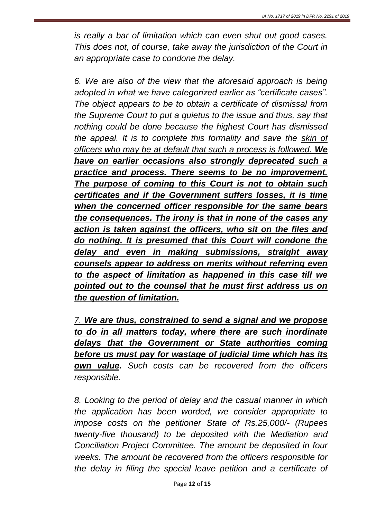*is really a bar of limitation which can even shut out good cases. This does not, of course, take away the jurisdiction of the Court in an appropriate case to condone the delay.*

*6. We are also of the view that the aforesaid approach is being adopted in what we have categorized earlier as "certificate cases". The object appears to be to obtain a certificate of dismissal from the Supreme Court to put a quietus to the issue and thus, say that nothing could be done because the highest Court has dismissed the appeal. It is to complete this formality and save the skin of officers who may be at default that such a process is followed. We have on earlier occasions also strongly deprecated such a practice and process. There seems to be no improvement. The purpose of coming to this Court is not to obtain such certificates and if the Government suffers losses, it is time when the concerned officer responsible for the same bears the consequences. The irony is that in none of the cases any action is taken against the officers, who sit on the files and do nothing. It is presumed that this Court will condone the delay and even in making submissions, straight away counsels appear to address on merits without referring even to the aspect of limitation as happened in this case till we pointed out to the counsel that he must first address us on the question of limitation.*

*7. We are thus, constrained to send a signal and we propose to do in all matters today, where there are such inordinate delays that the Government or State authorities coming before us must pay for wastage of judicial time which has its own value. Such costs can be recovered from the officers responsible.* 

*8. Looking to the period of delay and the casual manner in which the application has been worded, we consider appropriate to impose costs on the petitioner State of Rs.25,000/- (Rupees twenty-five thousand) to be deposited with the Mediation and Conciliation Project Committee. The amount be deposited in four weeks. The amount be recovered from the officers responsible for the delay in filing the special leave petition and a certificate of*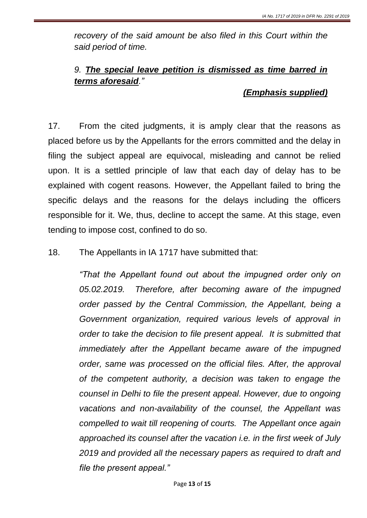*recovery of the said amount be also filed in this Court within the said period of time.* 

# *9. The special leave petition is dismissed as time barred in terms aforesaid."*

### *(Emphasis supplied)*

17. From the cited judgments, it is amply clear that the reasons as placed before us by the Appellants for the errors committed and the delay in filing the subject appeal are equivocal, misleading and cannot be relied upon. It is a settled principle of law that each day of delay has to be explained with cogent reasons. However, the Appellant failed to bring the specific delays and the reasons for the delays including the officers responsible for it. We, thus, decline to accept the same. At this stage, even tending to impose cost, confined to do so.

18. The Appellants in IA 1717 have submitted that:

*"That the Appellant found out about the impugned order only on 05.02.2019. Therefore, after becoming aware of the impugned order passed by the Central Commission, the Appellant, being a Government organization, required various levels of approval in order to take the decision to file present appeal. It is submitted that immediately after the Appellant became aware of the impugned order, same was processed on the official files. After, the approval of the competent authority, a decision was taken to engage the counsel in Delhi to file the present appeal. However, due to ongoing vacations and non-availability of the counsel, the Appellant was compelled to wait till reopening of courts. The Appellant once again approached its counsel after the vacation i.e. in the first week of July 2019 and provided all the necessary papers as required to draft and file the present appeal."*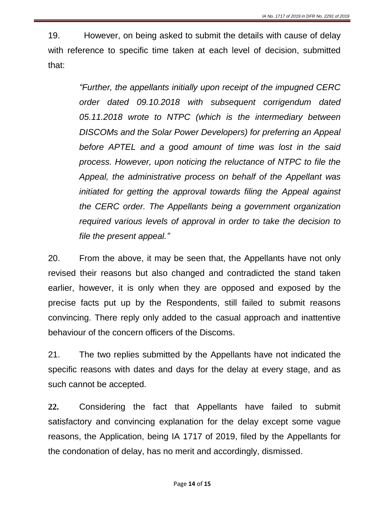19. However, on being asked to submit the details with cause of delay with reference to specific time taken at each level of decision, submitted that:

> *"Further, the appellants initially upon receipt of the impugned CERC order dated 09.10.2018 with subsequent corrigendum dated 05.11.2018 wrote to NTPC (which is the intermediary between DISCOMs and the Solar Power Developers) for preferring an Appeal before APTEL and a good amount of time was lost in the said process. However, upon noticing the reluctance of NTPC to file the Appeal, the administrative process on behalf of the Appellant was initiated for getting the approval towards filing the Appeal against the CERC order. The Appellants being a government organization required various levels of approval in order to take the decision to file the present appeal."*

20. From the above, it may be seen that, the Appellants have not only revised their reasons but also changed and contradicted the stand taken earlier, however, it is only when they are opposed and exposed by the precise facts put up by the Respondents, still failed to submit reasons convincing. There reply only added to the casual approach and inattentive behaviour of the concern officers of the Discoms.

21. The two replies submitted by the Appellants have not indicated the specific reasons with dates and days for the delay at every stage, and as such cannot be accepted.

**22.** Considering the fact that Appellants have failed to submit satisfactory and convincing explanation for the delay except some vague reasons, the Application, being IA 1717 of 2019, filed by the Appellants for the condonation of delay, has no merit and accordingly, dismissed.